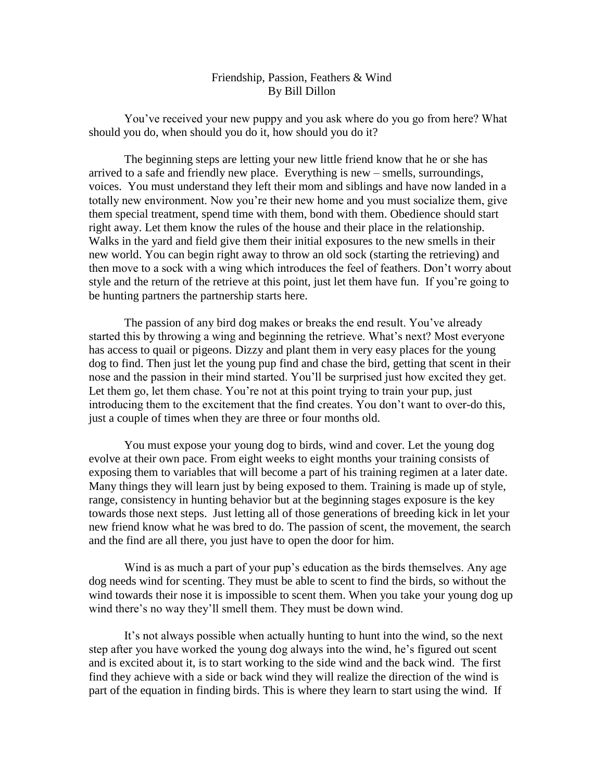## Friendship, Passion, Feathers & Wind By Bill Dillon

You've received your new puppy and you ask where do you go from here? What should you do, when should you do it, how should you do it?

The beginning steps are letting your new little friend know that he or she has arrived to a safe and friendly new place. Everything is new – smells, surroundings, voices. You must understand they left their mom and siblings and have now landed in a totally new environment. Now you're their new home and you must socialize them, give them special treatment, spend time with them, bond with them. Obedience should start right away. Let them know the rules of the house and their place in the relationship. Walks in the yard and field give them their initial exposures to the new smells in their new world. You can begin right away to throw an old sock (starting the retrieving) and then move to a sock with a wing which introduces the feel of feathers. Don't worry about style and the return of the retrieve at this point, just let them have fun. If you're going to be hunting partners the partnership starts here.

The passion of any bird dog makes or breaks the end result. You've already started this by throwing a wing and beginning the retrieve. What's next? Most everyone has access to quail or pigeons. Dizzy and plant them in very easy places for the young dog to find. Then just let the young pup find and chase the bird, getting that scent in their nose and the passion in their mind started. You'll be surprised just how excited they get. Let them go, let them chase. You're not at this point trying to train your pup, just introducing them to the excitement that the find creates. You don't want to over-do this, just a couple of times when they are three or four months old.

You must expose your young dog to birds, wind and cover. Let the young dog evolve at their own pace. From eight weeks to eight months your training consists of exposing them to variables that will become a part of his training regimen at a later date. Many things they will learn just by being exposed to them. Training is made up of style, range, consistency in hunting behavior but at the beginning stages exposure is the key towards those next steps. Just letting all of those generations of breeding kick in let your new friend know what he was bred to do. The passion of scent, the movement, the search and the find are all there, you just have to open the door for him.

Wind is as much a part of your pup's education as the birds themselves. Any age dog needs wind for scenting. They must be able to scent to find the birds, so without the wind towards their nose it is impossible to scent them. When you take your young dog up wind there's no way they'll smell them. They must be down wind.

It's not always possible when actually hunting to hunt into the wind, so the next step after you have worked the young dog always into the wind, he's figured out scent and is excited about it, is to start working to the side wind and the back wind. The first find they achieve with a side or back wind they will realize the direction of the wind is part of the equation in finding birds. This is where they learn to start using the wind. If